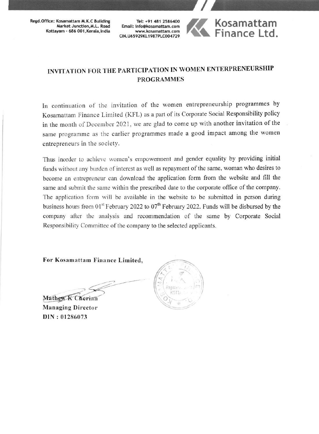Regd.Office: Kosamattam M.K.C Building Market Junction, M.L. Road Kottayam - 686 001, Kerala, India

Tel: +91 481 2586400 Email: info@kosamattam.com www.kosamattam.com CIN.U65929KL1987PLC004729



## INVITATION FOR THE PARTICIPATION IN WOMEN ENTERPRENEURSHIP **PROGRAMMES**

In continuation of the invitation of the women entrepreneurship programmes by Kosamattam Finance Limited (KFL) as a part of its Corporate Social Responsibility policy in the month of December 2021, we are glad to come up with another invitation of the same programme as the earlier programmes made a good impact among the women entrepreneurs in the society.

Thus inorder to achieve women's empowerment and gender equality by providing initial funds without any burden of interest as well as repayment of the same, woman who desires to become an entrepreneur can download the application form from the website and fill the same and submit the same within the prescribed date to the corporate office of the company. The application form will be available in the website to be submitted in person during business hours from  $01^{st}$  February 2022 to  $07^{th}$  February 2022. Funds will be disbursed by the company after the analysis and recommendation of the same by Corporate Social Responsibility Committee of the company to the selected applicants.

For Kosamattam Finance Limited,

Mathew K Cherian **Managing Director** DIN: 01286073